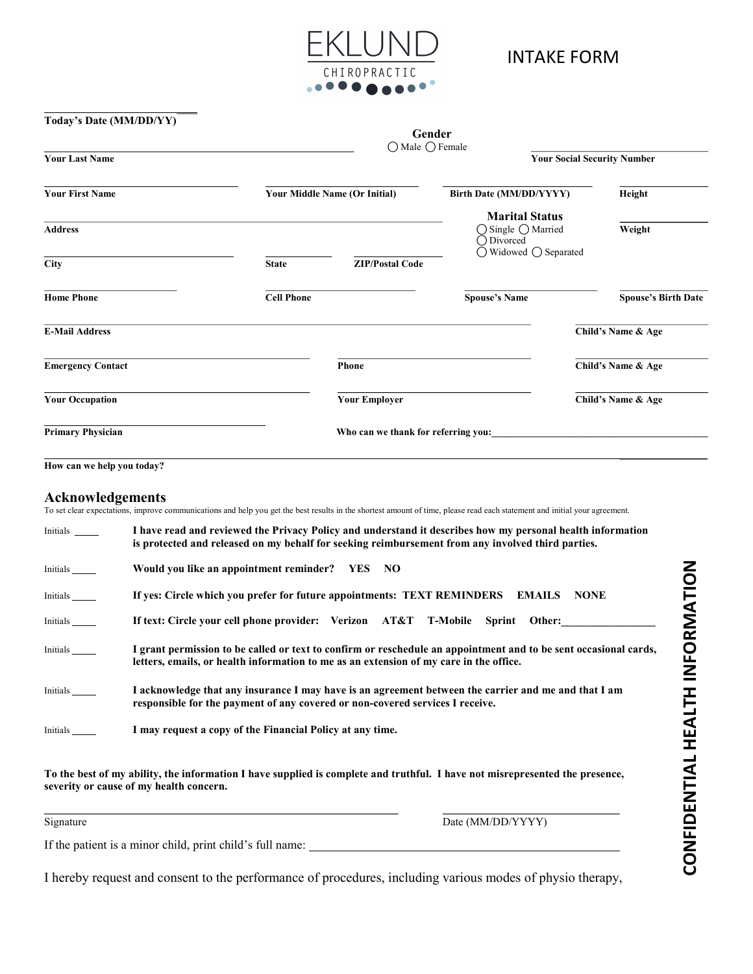

| Today's Date (MM/DD/YY)  |                   |                                      |                                                                                    |                                    |                            |
|--------------------------|-------------------|--------------------------------------|------------------------------------------------------------------------------------|------------------------------------|----------------------------|
|                          |                   | Gender                               |                                                                                    |                                    |                            |
| <b>Your Last Name</b>    | ○ Male ○ Female   |                                      |                                                                                    | <b>Your Social Security Number</b> |                            |
| <b>Your First Name</b>   |                   | <b>Your Middle Name (Or Initial)</b> | Birth Date (MM/DD/YYYY)                                                            |                                    | Height                     |
| <b>Address</b>           |                   |                                      | <b>Marital Status</b><br>○ Single ○ Married<br>◯ Divorced<br>◯ Widowed ◯ Separated |                                    | Weight                     |
| <b>City</b>              | <b>State</b>      | <b>ZIP/Postal Code</b>               |                                                                                    |                                    |                            |
| <b>Home Phone</b>        | <b>Cell Phone</b> |                                      | <b>Spouse's Name</b>                                                               |                                    | <b>Spouse's Birth Date</b> |
| <b>E-Mail Address</b>    |                   |                                      |                                                                                    |                                    | Child's Name & Age         |
| <b>Emergency Contact</b> |                   | <b>Phone</b>                         |                                                                                    |                                    | Child's Name & Age         |
| <b>Your Occupation</b>   |                   | <b>Your Employer</b>                 |                                                                                    |                                    | Child's Name & Age         |
| <b>Primary Physician</b> |                   | Who can we thank for referring you:  |                                                                                    |                                    |                            |
|                          |                   |                                      |                                                                                    |                                    |                            |

How can we help you today?

 $\mathcal{L}=\mathcal{L}^{\mathcal{L}}$  , where  $\mathcal{L}^{\mathcal{L}}$  , we have the set of the set of the set of the set of the set of the set of the set of the set of the set of the set of the set of the set of the set of the set of the set of

## Acknowledgements

To set clear expectations, improve communications and help you get the best results in the shortest amount of time, please read each statement and initial your agreement.

| Initials          | I have read and reviewed the Privacy Policy and understand it describes how my personal health information<br>is protected and released on my behalf for seeking reimbursement from any involved third parties. |  |  |  |  |  |
|-------------------|-----------------------------------------------------------------------------------------------------------------------------------------------------------------------------------------------------------------|--|--|--|--|--|
| Initials          | Would you like an appointment reminder? YES NO                                                                                                                                                                  |  |  |  |  |  |
| Initials          | If yes: Circle which you prefer for future appointments: TEXT REMINDERS EMAILS<br><b>NONE</b>                                                                                                                   |  |  |  |  |  |
| Initials          | If text: Circle your cell phone provider: Verizon AT&T T-Mobile<br>Sprint Other:                                                                                                                                |  |  |  |  |  |
| Initials ________ | I grant permission to be called or text to confirm or reschedule an appointment and to be sent occasional cards,<br>letters, emails, or health information to me as an extension of my care in the office.      |  |  |  |  |  |
| Initials          | I acknowledge that any insurance I may have is an agreement between the carrier and me and that I am<br>responsible for the payment of any covered or non-covered services I receive.                           |  |  |  |  |  |
| Initials          | I may request a copy of the Financial Policy at any time.                                                                                                                                                       |  |  |  |  |  |
|                   | To the best of my ability, the information I have supplied is complete and truthful. I have not misrepresented the presence,<br>severity or cause of my health concern.                                         |  |  |  |  |  |
| Signature         | Date (MM/DD/YYYY)                                                                                                                                                                                               |  |  |  |  |  |
|                   | If the patient is a minor child, print child's full name:                                                                                                                                                       |  |  |  |  |  |
|                   | I hereby request and consent to the performance of procedures, including various modes of physio therapy,                                                                                                       |  |  |  |  |  |